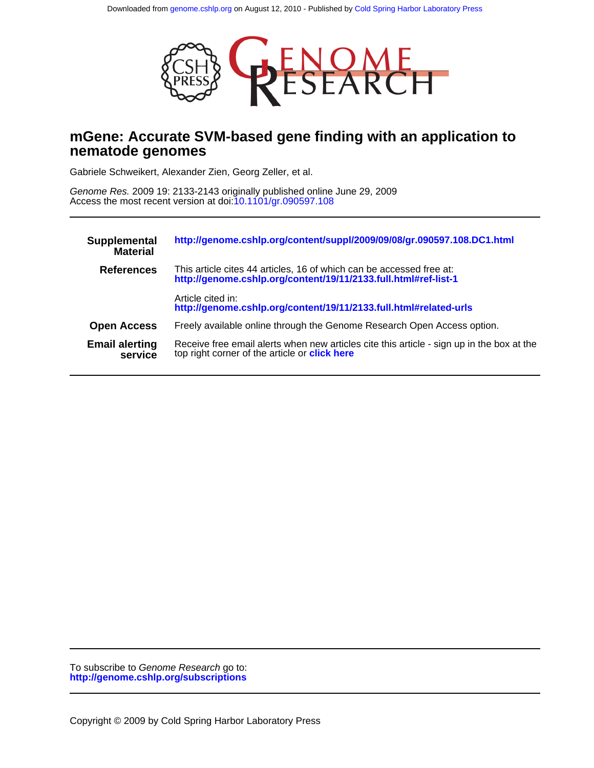

# **nematode genomes mGene: Accurate SVM-based gene finding with an application to**

Gabriele Schweikert, Alexander Zien, Georg Zeller, et al.

Access the most recent version at doi[:10.1101/gr.090597.108](http://genome.cshlp.org/lookup/doi/10.1101/gr.090597.108) Genome Res. 2009 19: 2133-2143 originally published online June 29, 2009

| <b>Supplemental</b><br><b>Material</b> | http://genome.cshlp.org/content/suppl/2009/09/08/gr.090597.108.DC1.html                                                                           |
|----------------------------------------|---------------------------------------------------------------------------------------------------------------------------------------------------|
| <b>References</b>                      | This article cites 44 articles, 16 of which can be accessed free at:<br>http://genome.cshlp.org/content/19/11/2133.full.html#ref-list-1           |
|                                        | Article cited in:<br>http://genome.cshlp.org/content/19/11/2133.full.html#related-urls                                                            |
| <b>Open Access</b>                     | Freely available online through the Genome Research Open Access option.                                                                           |
| <b>Email alerting</b><br>service       | Receive free email alerts when new articles cite this article - sign up in the box at the<br>top right corner of the article or <b>click here</b> |

**<http://genome.cshlp.org/subscriptions>** To subscribe to Genome Research go to: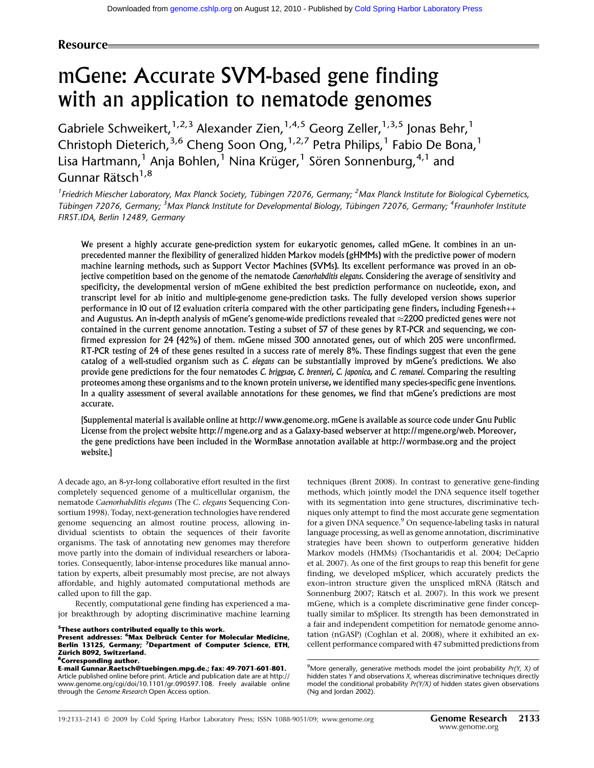# Resource

# mGene: Accurate SVM-based gene finding with an application to nematode genomes

Gabriele Schweikert,<sup>1,2,3</sup> Alexander Zien,<sup>1,4,5</sup> Georg Zeller,<sup>1,3,5</sup> Jonas Behr,<sup>1</sup> Christoph Dieterich,<sup>3,6</sup> Cheng Soon Ong,<sup>1,2,7</sup> Petra Philips,<sup>1</sup> Fabio De Bona,<sup>1</sup> Lisa Hartmann,<sup>1</sup> Anja Bohlen,<sup>1</sup> Nina Krüger,<sup>1</sup> Sören Sonnenburg,<sup>4,1</sup> and Gunnar Rätsch<sup>1,8</sup>

 $^1$ Friedrich Miescher Laboratory, Max Planck Society, Tübingen 72076, Germany;  $^2$ Max Planck Institute for Biological Cybernetics, Tübingen 72076, Germany; <sup>3</sup>Max Planck Institute for Developmental Biology, Tübingen 72076, Germany; <sup>4</sup>Fraunhofer Institute FIRST.IDA, Berlin 12489, Germany

We present a highly accurate gene-prediction system for eukaryotic genomes, called mGene. It combines in an unprecedented manner the flexibility of generalized hidden Markov models (gHMMs) with the predictive power of modern machine learning methods, such as Support Vector Machines (SVMs). Its excellent performance was proved in an objective competition based on the genome of the nematode Caenorhabditis elegans. Considering the average of sensitivity and specificity, the developmental version of mGene exhibited the best prediction performance on nucleotide, exon, and transcript level for ab initio and multiple-genome gene-prediction tasks. The fully developed version shows superior performance in 10 out of 12 evaluation criteria compared with the other participating gene finders, including Fgenesh++ and Augustus. An in-depth analysis of mGene's genome-wide predictions revealed that  $\approx$ 2200 predicted genes were not contained in the current genome annotation. Testing a subset of 57 of these genes by RT-PCR and sequencing, we confirmed expression for 24 (42%) of them. mGene missed 300 annotated genes, out of which 205 were unconfirmed. RT-PCR testing of 24 of these genes resulted in a success rate of merely 8%. These findings suggest that even the gene catalog of a well-studied organism such as C. elegans can be substantially improved by mGene's predictions. We also provide gene predictions for the four nematodes C. briggsae, C. brenneri, C. japonica, and C. remanei. Comparing the resulting proteomes among these organisms and to the known protein universe, we identified many species-specific gene inventions. In a quality assessment of several available annotations for these genomes, we find that mGene's predictions are most accurate.

[Supplemental material is available online at http://www.genome.org. mGene is available as source code under Gnu Public License from the project website http://mgene.org and as a Galaxy-based webserver at http://mgene.org/web. Moreover, the gene predictions have been included in the WormBase annotation available at http://wormbase.org and the project website.]

A decade ago, an 8-yr-long collaborative effort resulted in the first completely sequenced genome of a multicellular organism, the nematode Caenorhabditis elegans (The C. elegans Sequencing Consortium 1998). Today, next-generation technologies have rendered genome sequencing an almost routine process, allowing individual scientists to obtain the sequences of their favorite organisms. The task of annotating new genomes may therefore move partly into the domain of individual researchers or laboratories. Consequently, labor-intense procedures like manual annotation by experts, albeit presumably most precise, are not always affordable, and highly automated computational methods are called upon to fill the gap.

Recently, computational gene finding has experienced a major breakthrough by adopting discriminative machine learning

<sup>5</sup>These authors contributed equally to this work.

# Present addresses: <sup>6</sup>Max Delbrück Center for Molecular Medicine, Berlin 13125, Germany; <sup>7</sup>Department of Computer Science, ETH,<br>Zürich 8092, Switzerland.<br><sup>8</sup>Corrocnonding author Corresponding author.

E-mail Gunnar.Raetsch@tuebingen.mpg.de.; fax: 49-7071-601-801. Article published online before print. Article and publication date are at http:// www.genome.org/cgi/doi/10.1101/gr.090597.108. Freely available online through the Genome Research Open Access option.

techniques (Brent 2008). In contrast to generative gene-finding methods, which jointly model the DNA sequence itself together with its segmentation into gene structures, discriminative techniques only attempt to find the most accurate gene segmentation for a given DNA sequence.<sup>9</sup> On sequence-labeling tasks in natural language processing, as well as genome annotation, discriminative strategies have been shown to outperform generative hidden Markov models (HMMs) (Tsochantaridis et al. 2004; DeCaprio et al. 2007). As one of the first groups to reap this benefit for gene finding, we developed mSplicer, which accurately predicts the exon–intron structure given the unspliced mRNA (Rätsch and Sonnenburg 2007; Rätsch et al. 2007). In this work we present mGene, which is a complete discriminative gene finder conceptually similar to mSplicer. Its strength has been demonstrated in a fair and independent competition for nematode genome annotation (nGASP) (Coghlan et al. 2008), where it exhibited an excellent performance compared with 47 submitted predictions from

<sup>&</sup>lt;sup>9</sup>More generally, generative methods model the joint probability  $Pr(Y, X)$  of hidden states Y and observations X, whereas discriminative techniques directly model the conditional probability Pr(Y/X) of hidden states given observations (Ng and Jordan 2002).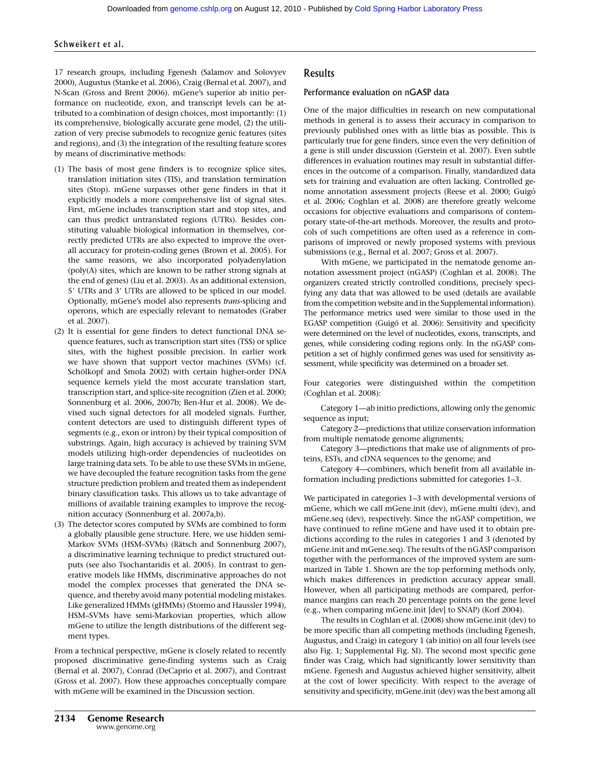17 research groups, including Fgenesh (Salamov and Solovyev 2000), Augustus (Stanke et al. 2006), Craig (Bernal et al. 2007), and N-Scan (Gross and Brent 2006). mGene's superior ab initio performance on nucleotide, exon, and transcript levels can be attributed to a combination of design choices, most importantly: (1) its comprehensive, biologically accurate gene model, (2) the utilization of very precise submodels to recognize genic features (sites and regions), and (3) the integration of the resulting feature scores by means of discriminative methods:

- (1) The basis of most gene finders is to recognize splice sites, translation initiation sites (TIS), and translation termination sites (Stop). mGene surpasses other gene finders in that it explicitly models a more comprehensive list of signal sites. First, mGene includes transcription start and stop sites, and can thus predict untranslated regions (UTRs). Besides constituting valuable biological information in themselves, correctly predicted UTRs are also expected to improve the overall accuracy for protein-coding genes (Brown et al. 2005). For the same reasons, we also incorporated polyadenylation (poly(A) sites, which are known to be rather strong signals at the end of genes) (Liu et al. 2003). As an additional extension, 5' UTRs and 3' UTRs are allowed to be spliced in our model. Optionally, mGene's model also represents trans-splicing and operons, which are especially relevant to nematodes (Graber et al. 2007).
- (2) It is essential for gene finders to detect functional DNA sequence features, such as transcription start sites (TSS) or splice sites, with the highest possible precision. In earlier work we have shown that support vector machines (SVMs) (cf. Schölkopf and Smola 2002) with certain higher-order DNA sequence kernels yield the most accurate translation start, transcription start, and splice-site recognition (Zien et al. 2000; Sonnenburg et al. 2006, 2007b; Ben-Hur et al. 2008). We devised such signal detectors for all modeled signals. Further, content detectors are used to distinguish different types of segments (e.g., exon or intron) by their typical composition of substrings. Again, high accuracy is achieved by training SVM models utilizing high-order dependencies of nucleotides on large training data sets. To be able to use these SVMs in mGene, we have decoupled the feature recognition tasks from the gene structure prediction problem and treated them as independent binary classification tasks. This allows us to take advantage of millions of available training examples to improve the recognition accuracy (Sonnenburg et al. 2007a,b).
- (3) The detector scores computed by SVMs are combined to form a globally plausible gene structure. Here, we use hidden semi-Markov SVMs (HSM–SVMs) (Rätsch and Sonnenburg 2007), a discriminative learning technique to predict structured outputs (see also Tsochantaridis et al. 2005). In contrast to generative models like HMMs, discriminative approaches do not model the complex processes that generated the DNA sequence, and thereby avoid many potential modeling mistakes. Like generalized HMMs (gHMMs) (Stormo and Haussler 1994), HSM–SVMs have semi-Markovian properties, which allow mGene to utilize the length distributions of the different segment types.

From a technical perspective, mGene is closely related to recently proposed discriminative gene-finding systems such as Craig (Bernal et al. 2007), Conrad (DeCaprio et al. 2007), and Contrast (Gross et al. 2007). How these approaches conceptually compare with mGene will be examined in the Discussion section.

# Results

#### Performance evaluation on nGASP data

One of the major difficulties in research on new computational methods in general is to assess their accuracy in comparison to previously published ones with as little bias as possible. This is particularly true for gene finders, since even the very definition of a gene is still under discussion (Gerstein et al. 2007). Even subtle differences in evaluation routines may result in substantial differences in the outcome of a comparison. Finally, standardized data sets for training and evaluation are often lacking. Controlled genome annotation assessment projects (Reese et al. 2000; Guigó et al. 2006; Coghlan et al. 2008) are therefore greatly welcome occasions for objective evaluations and comparisons of contemporary state-of-the-art methods. Moreover, the results and protocols of such competitions are often used as a reference in comparisons of improved or newly proposed systems with previous submissions (e.g., Bernal et al. 2007; Gross et al. 2007).

With mGene, we participated in the nematode genome annotation assessment project (nGASP) (Coghlan et al. 2008). The organizers created strictly controlled conditions, precisely specifying any data that was allowed to be used (details are available from the competition website and in the Supplemental information). The performance metrics used were similar to those used in the EGASP competition (Guigó et al. 2006): Sensitivity and specificity were determined on the level of nucleotides, exons, transcripts, and genes, while considering coding regions only. In the nGASP competition a set of highly confirmed genes was used for sensitivity assessment, while specificity was determined on a broader set.

Four categories were distinguished within the competition (Coghlan et al. 2008):

Category 1—ab initio predictions, allowing only the genomic sequence as input;

Category 2—predictions that utilize conservation information from multiple nematode genome alignments;

Category 3—predictions that make use of alignments of proteins, ESTs, and cDNA sequences to the genome; and

Category 4—combiners, which benefit from all available information including predictions submitted for categories 1–3.

We participated in categories 1–3 with developmental versions of mGene, which we call mGene.init (dev), mGene.multi (dev), and mGene.seq (dev), respectively. Since the nGASP competition, we have continued to refine mGene and have used it to obtain predictions according to the rules in categories 1 and 3 (denoted by mGene.init and mGene.seq). The results of the nGASP comparison together with the performances of the improved system are summarized in Table 1. Shown are the top performing methods only, which makes differences in prediction accuracy appear small. However, when all participating methods are compared, performance margins can reach 20 percentage points on the gene level (e.g., when comparing mGene.init [dev] to SNAP) (Korf 2004).

The results in Coghlan et al. (2008) show mGene.init (dev) to be more specific than all competing methods (including Fgenesh, Augustus, and Craig) in category 1 (ab initio) on all four levels (see also Fig. 1; Supplemental Fig. SI). The second most specific gene finder was Craig, which had significantly lower sensitivity than mGene. Fgenesh and Augustus achieved higher sensitivity, albeit at the cost of lower specificity. With respect to the average of sensitivity and specificity, mGene.init (dev) was the best among all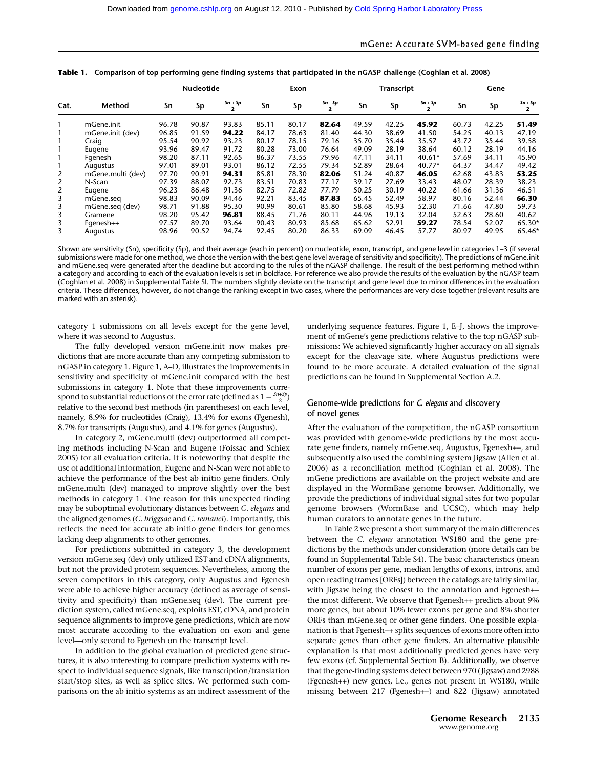|      |                   | <b>Nucleotide</b> |       | Exon              |       |       | <b>Transcript</b> |       |       | Gene              |       |       |                   |
|------|-------------------|-------------------|-------|-------------------|-------|-------|-------------------|-------|-------|-------------------|-------|-------|-------------------|
| Cat. | Method            | Sn                | Sp    | $\frac{Sn+Sp}{2}$ | Sn    | Sp    | $\frac{Sn+Sp}{2}$ | Sn    | Sp    | $\frac{Sn+Sp}{2}$ | Sn    | Sp    | $\frac{Sn+Sp}{2}$ |
|      | mGene.init        | 96.78             | 90.87 | 93.83             | 85.11 | 80.17 | 82.64             | 49.59 | 42.25 | 45.92             | 60.73 | 42.25 | 51.49             |
|      | mGene.init (dev)  | 96.85             | 91.59 | 94.22             | 84.17 | 78.63 | 81.40             | 44.30 | 38.69 | 41.50             | 54.25 | 40.13 | 47.19             |
|      | Craig             | 95.54             | 90.92 | 93.23             | 80.17 | 78.15 | 79.16             | 35.70 | 35.44 | 35.57             | 43.72 | 35.44 | 39.58             |
|      | Eugene            | 93.96             | 89.47 | 91.72             | 80.28 | 73.00 | 76.64             | 49.09 | 28.19 | 38.64             | 60.12 | 28.19 | 44.16             |
|      | Fgenesh           | 98.20             | 87.11 | 92.65             | 86.37 | 73.55 | 79.96             | 47.11 | 34.11 | $40.61*$          | 57.69 | 34.11 | 45.90             |
|      | Augustus          | 97.01             | 89.01 | 93.01             | 86.12 | 72.55 | 79.34             | 52.89 | 28.64 | 40.77*            | 64.37 | 34.47 | 49.42             |
| 2    | mGene.multi (dev) | 97.70             | 90.91 | 94.31             | 85.81 | 78.30 | 82.06             | 51.24 | 40.87 | 46.05             | 62.68 | 43.83 | 53.25             |
| 2    | N-Scan            | 97.39             | 88.07 | 92.73             | 83.51 | 70.83 | 77.17             | 39.17 | 27.69 | 33.43             | 48.07 | 28.39 | 38.23             |
| 2    | Eugene            | 96.23             | 86.48 | 91.36             | 82.75 | 72.82 | 77.79             | 50.25 | 30.19 | 40.22             | 61.66 | 31.36 | 46.51             |
| 3    | mGene.seq         | 98.83             | 90.09 | 94.46             | 92.21 | 83.45 | 87.83             | 65.45 | 52.49 | 58.97             | 80.16 | 52.44 | 66.30             |
| 3    | mGene.seq (dev)   | 98.71             | 91.88 | 95.30             | 90.99 | 80.61 | 85.80             | 58.68 | 45.93 | 52.30             | 71.66 | 47.80 | 59.73             |
| 3    | Gramene           | 98.20             | 95.42 | 96.81             | 88.45 | 71.76 | 80.11             | 44.96 | 19.13 | 32.04             | 52.63 | 28.60 | 40.62             |
| 3    | $F$ genesh $++$   | 97.57             | 89.70 | 93.64             | 90.43 | 80.93 | 85.68             | 65.62 | 52.91 | 59.27             | 78.54 | 52.07 | $65.30*$          |
| 3    | Augustus          | 98.96             | 90.52 | 94.74             | 92.45 | 80.20 | 86.33             | 69.09 | 46.45 | 57.77             | 80.97 | 49.95 | $65.46*$          |

Table 1. Comparison of top performing gene finding systems that participated in the nGASP challenge (Coghlan et al. 2008)

Shown are sensitivity (Sn), specificity (Sp), and their average (each in percent) on nucleotide, exon, transcript, and gene level in categories 1–3 (if several submissions were made for one method, we chose the version with the best gene level average of sensitivity and specificity). The predictions of mGene.init and mGene.seq were generated after the deadline but according to the rules of the nGASP challenge. The result of the best performing method within a category and according to each of the evaluation levels is set in boldface. For reference we also provide the results of the evaluation by the nGASP team (Coghlan et al. 2008) in Supplemental Table SI. The numbers slightly deviate on the transcript and gene level due to minor differences in the evaluation criteria. These differences, however, do not change the ranking except in two cases, where the performances are very close together (relevant results are marked with an asterisk).

category 1 submissions on all levels except for the gene level, where it was second to Augustus.

The fully developed version mGene.init now makes predictions that are more accurate than any competing submission to nGASP in category 1. Figure 1, A–D, illustrates the improvements in sensitivity and specificity of mGene.init compared with the best submissions in category 1. Note that these improvements correspond to substantial reductions of the error rate (defined as  $1-\frac{Sn+Sp}{2}$ ) relative to the second best methods (in parentheses) on each level, namely, 8.9% for nucleotides (Craig), 13.4% for exons (Fgenesh), 8.7% for transcripts (Augustus), and 4.1% for genes (Augustus).

In category 2, mGene.multi (dev) outperformed all competing methods including N-Scan and Eugene (Foissac and Schiex 2005) for all evaluation criteria. It is noteworthy that despite the use of additional information, Eugene and N-Scan were not able to achieve the performance of the best ab initio gene finders. Only mGene.multi (dev) managed to improve slightly over the best methods in category 1. One reason for this unexpected finding may be suboptimal evolutionary distances between C. elegans and the aligned genomes (C. briggsae and C. remanei). Importantly, this reflects the need for accurate ab initio gene finders for genomes lacking deep alignments to other genomes.

For predictions submitted in category 3, the development version mGene.seq (dev) only utilized EST and cDNA alignments, but not the provided protein sequences. Nevertheless, among the seven competitors in this category, only Augustus and Fgenesh were able to achieve higher accuracy (defined as average of sensitivity and specificity) than mGene.seq (dev). The current prediction system, called mGene.seq, exploits EST, cDNA, and protein sequence alignments to improve gene predictions, which are now most accurate according to the evaluation on exon and gene level—only second to Fgenesh on the transcript level.

In addition to the global evaluation of predicted gene structures, it is also interesting to compare prediction systems with respect to individual sequence signals, like transcription/translation start/stop sites, as well as splice sites. We performed such comparisons on the ab initio systems as an indirect assessment of the underlying sequence features. Figure 1, E–J, shows the improvement of mGene's gene predictions relative to the top nGASP submissions: We achieved significantly higher accuracy on all signals except for the cleavage site, where Augustus predictions were found to be more accurate. A detailed evaluation of the signal predictions can be found in Supplemental Section A.2.

# Genome-wide predictions for C. elegans and discovery of novel genes

After the evaluation of the competition, the nGASP consortium was provided with genome-wide predictions by the most accurate gene finders, namely mGene.seq, Augustus, Fgenesh++, and subsequently also used the combining system Jigsaw (Allen et al. 2006) as a reconciliation method (Coghlan et al. 2008). The mGene predictions are available on the project website and are displayed in the WormBase genome browser. Additionally, we provide the predictions of individual signal sites for two popular genome browsers (WormBase and UCSC), which may help human curators to annotate genes in the future.

In Table 2 we present a short summary of the main differences between the C. elegans annotation WS180 and the gene predictions by the methods under consideration (more details can be found in Supplemental Table S4). The basic characteristics (mean number of exons per gene, median lengths of exons, introns, and open reading frames [ORFs]) between the catalogs are fairly similar, with Jigsaw being the closest to the annotation and Fgenesh++ the most different. We observe that Fgenesh++ predicts about 9% more genes, but about 10% fewer exons per gene and 8% shorter ORFs than mGene.seq or other gene finders. One possible explanation is that Fgenesh++ splits sequences of exons more often into separate genes than other gene finders. An alternative plausible explanation is that most additionally predicted genes have very few exons (cf. Supplemental Section B). Additionally, we observe that the gene-finding systems detect between 970 ( Jigsaw) and 2988 (Fgenesh++) new genes, i.e., genes not present in WS180, while missing between 217 (Fgenesh++) and 822 ( Jigsaw) annotated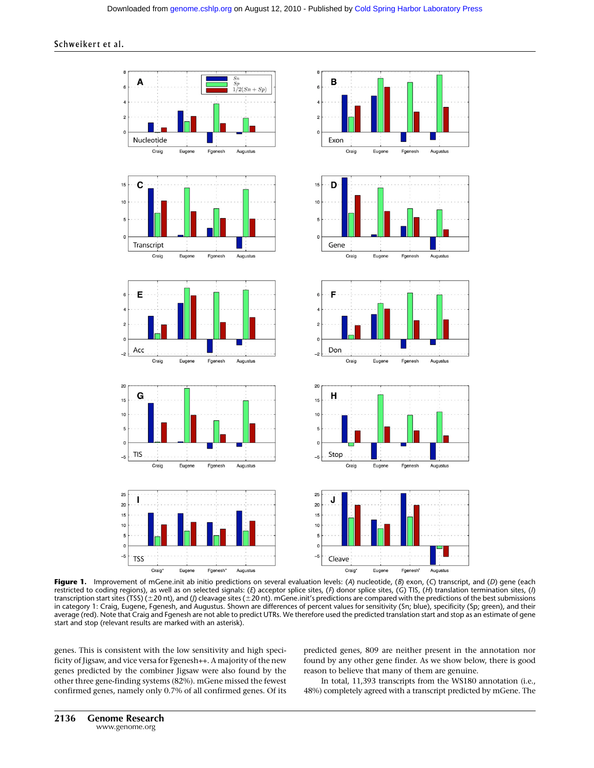

Figure 1. Improvement of mGene.init ab initio predictions on several evaluation levels: (A) nucleotide, (B) exon, (C) transcript, and (D) gene (each restricted to coding regions), as well as on selected signals: (E) acceptor splice sites, (F) donor splice sites, (G) TIS, (H) translation termination sites, (I) transcription start sites (TSS) ( $\pm$ 20 nt), and (J) cleavage sites ( $\pm$ 20 nt). mGene.init's predictions are compared with the predictions of the best submissions in category 1: Craig, Eugene, Fgenesh, and Augustus. Shown are differences of percent values for sensitivity (Sn; blue), specificity (Sp; green), and their average (red). Note that Craig and Fgenesh are not able to predict UTRs. We therefore used the predicted translation start and stop as an estimate of gene start and stop (relevant results are marked with an asterisk).

genes. This is consistent with the low sensitivity and high specificity of Jigsaw, and vice versa for Fgenesh++. A majority of the new genes predicted by the combiner Jigsaw were also found by the other three gene-finding systems (82%). mGene missed the fewest confirmed genes, namely only 0.7% of all confirmed genes. Of its

predicted genes, 809 are neither present in the annotation nor found by any other gene finder. As we show below, there is good reason to believe that many of them are genuine.

In total, 11,393 transcripts from the WS180 annotation (i.e., 48%) completely agreed with a transcript predicted by mGene. The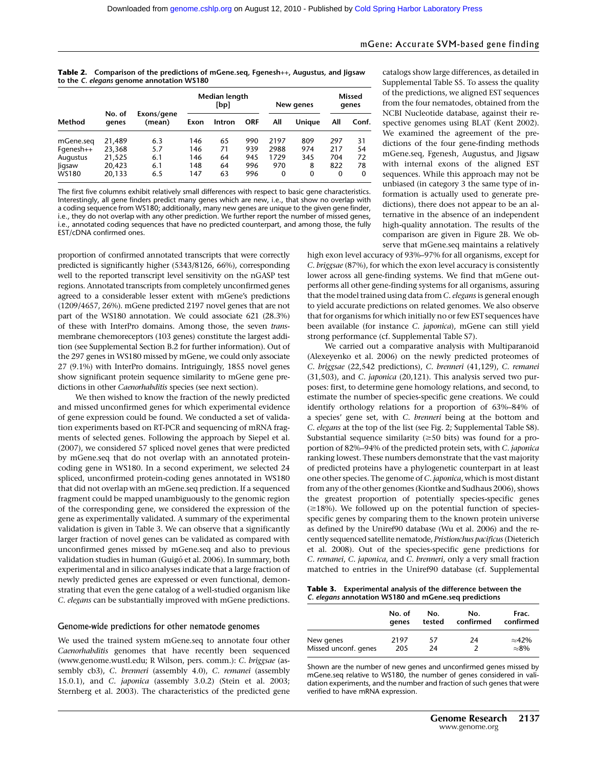| <b>Table 2.</b> Comparison of the predictions of mGene.seq, Fgenesh++, Augustus, and Jigsaw |  |
|---------------------------------------------------------------------------------------------|--|
| to the C. elegans genome annotation WS180                                                   |  |

|              |                 | Median length<br>[bp] |      | New genes |            | Missed<br>genes |        |     |       |
|--------------|-----------------|-----------------------|------|-----------|------------|-----------------|--------|-----|-------|
| Method       | No. of<br>genes | Exons/gene<br>(mean)  | Exon | Intron    | <b>ORF</b> | All             | Unique | All | Conf. |
| mGene.seg    | 21,489          | 6.3                   | 146  | 65        | 990        | 2197            | 809    | 297 | 31    |
| Fgenesh++    | 23,368          | 5.7                   | 146  | 71        | 939        | 2988            | 974    | 217 | 54    |
| Augustus     | 21,525          | 6.1                   | 146  | 64        | 945        | 1729            | 345    | 704 | 72    |
| ligsaw       | 20,423          | 6.1                   | 148  | 64        | 996        | 970             | 8      | 822 | 78    |
| <b>WS180</b> | 20,133          | 6.5                   | 147  | 63        | 996        | $\Omega$        | 0      | 0   | 0     |

The first five columns exhibit relatively small differences with respect to basic gene characteristics. Interestingly, all gene finders predict many genes which are new, i.e., that show no overlap with a coding sequence from WS180; additionally, many new genes are unique to the given gene finder, i.e., they do not overlap with any other prediction. We further report the number of missed genes, i.e., annotated coding sequences that have no predicted counterpart, and among those, the fully EST/cDNA confirmed ones.

proportion of confirmed annotated transcripts that were correctly predicted is significantly higher (5343/8126, 66%), corresponding well to the reported transcript level sensitivity on the nGASP test regions. Annotated transcripts from completely unconfirmed genes agreed to a considerable lesser extent with mGene's predictions (1209/4657, 26%). mGene predicted 2197 novel genes that are not part of the WS180 annotation. We could associate 621 (28.3%) of these with InterPro domains. Among those, the seven transmembrane chemoreceptors (103 genes) constitute the largest addition (see Supplemental Section B.2 for further information). Out of the 297 genes in WS180 missed by mGene, we could only associate 27 (9.1%) with InterPro domains. Intriguingly, 1855 novel genes show significant protein sequence similarity to mGene gene predictions in other Caenorhabditis species (see next section).

We then wished to know the fraction of the newly predicted and missed unconfirmed genes for which experimental evidence of gene expression could be found. We conducted a set of validation experiments based on RT-PCR and sequencing of mRNA fragments of selected genes. Following the approach by Siepel et al. (2007), we considered 57 spliced novel genes that were predicted by mGene.seq that do not overlap with an annotated proteincoding gene in WS180. In a second experiment, we selected 24 spliced, unconfirmed protein-coding genes annotated in WS180 that did not overlap with an mGene.seq prediction. If a sequenced fragment could be mapped unambiguously to the genomic region of the corresponding gene, we considered the expression of the gene as experimentally validated. A summary of the experimental validation is given in Table 3. We can observe that a significantly larger fraction of novel genes can be validated as compared with unconfirmed genes missed by mGene.seq and also to previous validation studies in human (Guigó et al. 2006). In summary, both experimental and in silico analyses indicate that a large fraction of newly predicted genes are expressed or even functional, demonstrating that even the gene catalog of a well-studied organism like C. elegans can be substantially improved with mGene predictions.

#### Genome-wide predictions for other nematode genomes

We used the trained system mGene.seq to annotate four other Caenorhabditis genomes that have recently been sequenced (www.genome.wustl.edu; R Wilson, pers. comm.): C. briggsae (assembly cb3), C. brenneri (assembly 4.0), C. remanei (assembly 15.0.1), and C. japonica (assembly 3.0.2) (Stein et al. 2003; Sternberg et al. 2003). The characteristics of the predicted gene

catalogs show large differences, as detailed in Supplemental Table S5. To assess the quality of the predictions, we aligned EST sequences from the four nematodes, obtained from the NCBI Nucleotide database, against their respective genomes using BLAT (Kent 2002). We examined the agreement of the predictions of the four gene-finding methods mGene.seq, Fgenesh, Augustus, and Jigsaw with internal exons of the aligned EST sequences. While this approach may not be unbiased (in category 3 the same type of information is actually used to generate predictions), there does not appear to be an alternative in the absence of an independent high-quality annotation. The results of the comparison are given in Figure 2B. We observe that mGene.seq maintains a relatively

high exon level accuracy of 93%–97% for all organisms, except for C. briggsae (87%), for which the exon level accuracy is consistently lower across all gene-finding systems. We find that mGene outperforms all other gene-finding systems for all organisms, assuring that the model trained using data from C. elegans is general enough to yield accurate predictions on related genomes. We also observe that for organisms for which initially no or few EST sequences have been available (for instance C. japonica), mGene can still yield strong performance (cf. Supplemental Table S7).

We carried out a comparative analysis with Multiparanoid (Alexeyenko et al. 2006) on the newly predicted proteomes of C. briggsae (22,542 predictions), C. brenneri (41,129), C. remanei (31,503), and C. japonica (20,121). This analysis served two purposes: first, to determine gene homology relations, and second, to estimate the number of species-specific gene creations. We could identify orthology relations for a proportion of 63%–84% of a species' gene set, with C. brenneri being at the bottom and C. elegans at the top of the list (see Fig. 2; Supplemental Table S8). Substantial sequence similarity ( $\geq$ 50 bits) was found for a proportion of 82%–94% of the predicted protein sets, with C. japonica ranking lowest. These numbers demonstrate that the vast majority of predicted proteins have a phylogenetic counterpart in at least one other species. The genome of C. japonica, which is most distant from any of the other genomes (Kiontke and Sudhaus 2006), shows the greatest proportion of potentially species-specific genes  $(\geq 18\%)$ . We followed up on the potential function of speciesspecific genes by comparing them to the known protein universe as defined by the Uniref90 database (Wu et al. 2006) and the recently sequenced satellite nematode, Pristionchus pacificus (Dieterich et al. 2008). Out of the species-specific gene predictions for C. remanei, C. japonica, and C. brenneri, only a very small fraction matched to entries in the Uniref90 database (cf. Supplemental

Table 3. Experimental analysis of the difference between the C. elegans annotation WS180 and mGene.seq predictions

|                      | No. of | No.    | No.       | Frac.         |
|----------------------|--------|--------|-----------|---------------|
|                      | genes  | tested | confirmed | confirmed     |
| New genes            | 2197   | 57     | 24        | $\approx$ 42% |
| Missed unconf. genes | 205    | 24     |           | $\approx 8\%$ |

Shown are the number of new genes and unconfirmed genes missed by mGene.seq relative to WS180, the number of genes considered in validation experiments, and the number and fraction of such genes that were verified to have mRNA expression.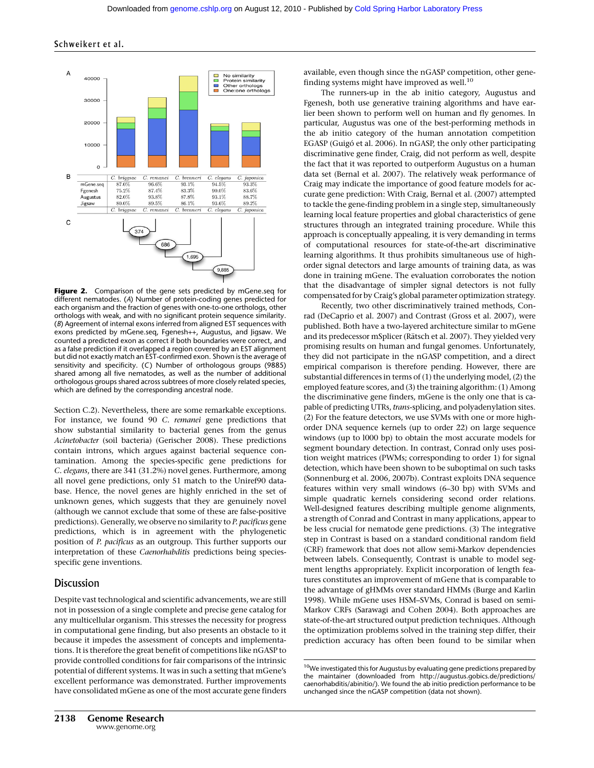

Figure 2. Comparison of the gene sets predicted by mGene.seq for different nematodes. (A) Number of protein-coding genes predicted for each organism and the fraction of genes with one-to-one orthologs, other orthologs with weak, and with no significant protein sequence similarity. (B) Agreement of internal exons inferred from aligned EST sequences with exons predicted by mGene.seq, Fgenesh++, Augustus, and Jigsaw. We counted a predicted exon as correct if both boundaries were correct, and as a false prediction if it overlapped a region covered by an EST alignment but did not exactly match an EST-confirmed exon. Shown is the average of sensitivity and specificity. (C) Number of orthologous groups (9885) shared among all five nematodes, as well as the number of additional orthologous groups shared across subtrees of more closely related species, which are defined by the corresponding ancestral node.

Section C.2). Nevertheless, there are some remarkable exceptions. For instance, we found 90 C. remanei gene predictions that show substantial similarity to bacterial genes from the genus Acinetobacter (soil bacteria) (Gerischer 2008). These predictions contain introns, which argues against bacterial sequence contamination. Among the species-specific gene predictions for C. elegans, there are 341 (31.2%) novel genes. Furthermore, among all novel gene predictions, only 51 match to the Uniref90 database. Hence, the novel genes are highly enriched in the set of unknown genes, which suggests that they are genuinely novel (although we cannot exclude that some of these are false-positive predictions). Generally, we observe no similarity to P. pacificus gene predictions, which is in agreement with the phylogenetic position of P. pacificus as an outgroup. This further supports our interpretation of these Caenorhabditis predictions being speciesspecific gene inventions.

# **Discussion**

Despite vast technological and scientific advancements, we are still not in possession of a single complete and precise gene catalog for any multicellular organism. This stresses the necessity for progress in computational gene finding, but also presents an obstacle to it because it impedes the assessment of concepts and implementations. It is therefore the great benefit of competitions like nGASP to provide controlled conditions for fair comparisons of the intrinsic potential of different systems. It was in such a setting that mGene's excellent performance was demonstrated. Further improvements have consolidated mGene as one of the most accurate gene finders

The runners-up in the ab initio category, Augustus and Fgenesh, both use generative training algorithms and have earlier been shown to perform well on human and fly genomes. In particular, Augustus was one of the best-performing methods in the ab initio category of the human annotation competition EGASP (Guigó et al. 2006). In nGASP, the only other participating discriminative gene finder, Craig, did not perform as well, despite the fact that it was reported to outperform Augustus on a human data set (Bernal et al. 2007). The relatively weak performance of Craig may indicate the importance of good feature models for accurate gene prediction: With Craig, Bernal et al. (2007) attempted to tackle the gene-finding problem in a single step, simultaneously learning local feature properties and global characteristics of gene structures through an integrated training procedure. While this approach is conceptually appealing, it is very demanding in terms of computational resources for state-of-the-art discriminative learning algorithms. It thus prohibits simultaneous use of highorder signal detectors and large amounts of training data, as was done in training mGene. The evaluation corroborates the notion that the disadvantage of simpler signal detectors is not fully compensated for by Craig's global parameter optimization strategy.

Recently, two other discriminatively trained methods, Conrad (DeCaprio et al. 2007) and Contrast (Gross et al. 2007), were published. Both have a two-layered architecture similar to mGene and its predecessor mSplicer (Rätsch et al. 2007). They yielded very promising results on human and fungal genomes. Unfortunately, they did not participate in the nGASP competition, and a direct empirical comparison is therefore pending. However, there are substantial differences in terms of (1) the underlying model, (2) the employed feature scores, and (3) the training algorithm: (1) Among the discriminative gene finders, mGene is the only one that is capable of predicting UTRs, trans-splicing, and polyadenylation sites. (2) For the feature detectors, we use SVMs with one or more highorder DNA sequence kernels (up to order 22) on large sequence windows (up to l000 bp) to obtain the most accurate models for segment boundary detection. In contrast, Conrad only uses position weight matrices (PWMs; corresponding to order 1) for signal detection, which have been shown to be suboptimal on such tasks (Sonnenburg et al. 2006, 2007b). Contrast exploits DNA sequence features within very small windows (6–30 bp) with SVMs and simple quadratic kernels considering second order relations. Well-designed features describing multiple genome alignments, a strength of Conrad and Contrast in many applications, appear to be less crucial for nematode gene predictions. (3) The integrative step in Contrast is based on a standard conditional random field (CRF) framework that does not allow semi-Markov dependencies between labels. Consequently, Contrast is unable to model segment lengths appropriately. Explicit incorporation of length features constitutes an improvement of mGene that is comparable to the advantage of gHMMs over standard HMMs (Burge and Karlin 1998). While mGene uses HSM–SVMs, Conrad is based on semi-Markov CRFs (Sarawagi and Cohen 2004). Both approaches are state-of-the-art structured output prediction techniques. Although the optimization problems solved in the training step differ, their prediction accuracy has often been found to be similar when

<sup>&</sup>lt;sup>10</sup>We investigated this for Augustus by evaluating gene predictions prepared by the maintainer (downloaded from http://augustus.gobics.de/predictions/ caenorhabditis/abinitio/). We found the ab initio prediction performance to be unchanged since the nGASP competition (data not shown).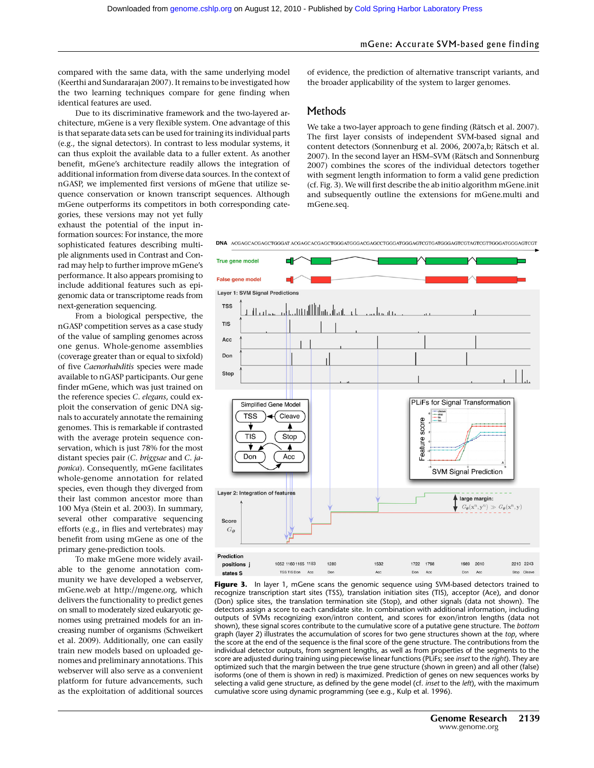compared with the same data, with the same underlying model (Keerthi and Sundararajan 2007). It remains to be investigated how the two learning techniques compare for gene finding when identical features are used.

Due to its discriminative framework and the two-layered architecture, mGene is a very flexible system. One advantage of this is that separate data sets can be used for training its individual parts (e.g., the signal detectors). In contrast to less modular systems, it can thus exploit the available data to a fuller extent. As another benefit, mGene's architecture readily allows the integration of additional information from diverse data sources. In the context of nGASP, we implemented first versions of mGene that utilize sequence conservation or known transcript sequences. Although mGene outperforms its competitors in both corresponding cate-

gories, these versions may not yet fully exhaust the potential of the input information sources: For instance, the more sophisticated features describing multiple alignments used in Contrast and Conrad may help to further improve mGene's performance. It also appears promising to include additional features such as epigenomic data or transcriptome reads from next-generation sequencing.

From a biological perspective, the nGASP competition serves as a case study of the value of sampling genomes across one genus. Whole-genome assemblies (coverage greater than or equal to sixfold) of five Caenorhabditis species were made available to nGASP participants. Our gene finder mGene, which was just trained on the reference species C. elegans, could exploit the conservation of genic DNA signals to accurately annotate the remaining genomes. This is remarkable if contrasted with the average protein sequence conservation, which is just 78% for the most distant species pair (C. briggsae and C. japonica). Consequently, mGene facilitates whole-genome annotation for related species, even though they diverged from their last common ancestor more than 100 Mya (Stein et al. 2003). In summary, several other comparative sequencing efforts (e.g., in flies and vertebrates) may benefit from using mGene as one of the primary gene-prediction tools.

To make mGene more widely available to the genome annotation community we have developed a webserver, mGene.web at http://mgene.org, which delivers the functionality to predict genes on small to moderately sized eukaryotic genomes using pretrained models for an increasing number of organisms (Schweikert et al. 2009). Additionally, one can easily train new models based on uploaded genomes and preliminary annotations. This webserver will also serve as a convenient platform for future advancements, such as the exploitation of additional sources of evidence, the prediction of alternative transcript variants, and the broader applicability of the system to larger genomes.

# Methods

We take a two-layer approach to gene finding (Rätsch et al. 2007). The first layer consists of independent SVM-based signal and content detectors (Sonnenburg et al. 2006, 2007a,b; Rätsch et al. 2007). In the second layer an HSM-SVM (Rätsch and Sonnenburg 2007) combines the scores of the individual detectors together with segment length information to form a valid gene prediction (cf. Fig. 3). We will first describe the ab initio algorithm mGene.init and subsequently outline the extensions for mGene.multi and mGene.seq.



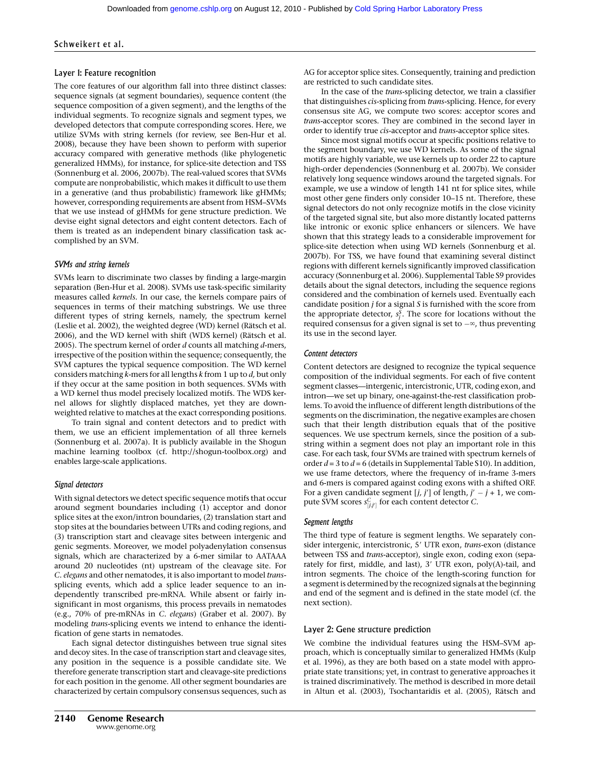#### Layer 1: Feature recognition

The core features of our algorithm fall into three distinct classes: sequence signals (at segment boundaries), sequence content (the sequence composition of a given segment), and the lengths of the individual segments. To recognize signals and segment types, we developed detectors that compute corresponding scores. Here, we utilize SVMs with string kernels (for review, see Ben-Hur et al. 2008), because they have been shown to perform with superior accuracy compared with generative methods (like phylogenetic generalized HMMs), for instance, for splice-site detection and TSS (Sonnenburg et al. 2006, 2007b). The real-valued scores that SVMs compute are nonprobabilistic, which makes it difficult to use them in a generative (and thus probabilistic) framework like gHMMs; however, corresponding requirements are absent from HSM–SVMs that we use instead of gHMMs for gene structure prediction. We devise eight signal detectors and eight content detectors. Each of them is treated as an independent binary classification task accomplished by an SVM.

#### SVMs and string kernels

SVMs learn to discriminate two classes by finding a large-margin separation (Ben-Hur et al. 2008). SVMs use task-specific similarity measures called kernels. In our case, the kernels compare pairs of sequences in terms of their matching substrings. We use three different types of string kernels, namely, the spectrum kernel (Leslie et al. 2002), the weighted degree (WD) kernel (Rätsch et al. 2006), and the WD kernel with shift (WDS kernel) (Rätsch et al. 2005). The spectrum kernel of order  $d$  counts all matching  $d$ -mers, irrespective of the position within the sequence; consequently, the SVM captures the typical sequence composition. The WD kernel considers matching  $k$ -mers for all lengths  $k$  from 1 up to  $d$ , but only if they occur at the same position in both sequences. SVMs with a WD kernel thus model precisely localized motifs. The WDS kernel allows for slightly displaced matches, yet they are downweighted relative to matches at the exact corresponding positions.

To train signal and content detectors and to predict with them, we use an efficient implementation of all three kernels (Sonnenburg et al. 2007a). It is publicly available in the Shogun machine learning toolbox (cf. http://shogun-toolbox.org) and enables large-scale applications.

#### Signal detectors

With signal detectors we detect specific sequence motifs that occur around segment boundaries including (1) acceptor and donor splice sites at the exon/intron boundaries, (2) translation start and stop sites at the boundaries between UTRs and coding regions, and (3) transcription start and cleavage sites between intergenic and genic segments. Moreover, we model polyadenylation consensus signals, which are characterized by a 6-mer similar to AATAAA around 20 nucleotides (nt) upstream of the cleavage site. For C. elegans and other nematodes, it is also important to model transsplicing events, which add a splice leader sequence to an independently transcribed pre-mRNA. While absent or fairly insignificant in most organisms, this process prevails in nematodes (e.g., 70% of pre-mRNAs in C. elegans) (Graber et al. 2007). By modeling trans-splicing events we intend to enhance the identification of gene starts in nematodes.

Each signal detector distinguishes between true signal sites and decoy sites. In the case of transcription start and cleavage sites, any position in the sequence is a possible candidate site. We therefore generate transcription start and cleavage-site predictions for each position in the genome. All other segment boundaries are characterized by certain compulsory consensus sequences, such as AG for acceptor splice sites. Consequently, training and prediction are restricted to such candidate sites.

In the case of the trans-splicing detector, we train a classifier that distinguishes cis-splicing from trans-splicing. Hence, for every consensus site AG, we compute two scores: acceptor scores and trans-acceptor scores. They are combined in the second layer in order to identify true cis-acceptor and trans-acceptor splice sites.

Since most signal motifs occur at specific positions relative to the segment boundary, we use WD kernels. As some of the signal motifs are highly variable, we use kernels up to order 22 to capture high-order dependencies (Sonnenburg et al. 2007b). We consider relatively long sequence windows around the targeted signals. For example, we use a window of length 141 nt for splice sites, while most other gene finders only consider 10–15 nt. Therefore, these signal detectors do not only recognize motifs in the close vicinity of the targeted signal site, but also more distantly located patterns like intronic or exonic splice enhancers or silencers. We have shown that this strategy leads to a considerable improvement for splice-site detection when using WD kernels (Sonnenburg et al. 2007b). For TSS, we have found that examining several distinct regions with different kernels significantly improved classification accuracy (Sonnenburg et al. 2006). Supplemental Table S9 provides details about the signal detectors, including the sequence regions considered and the combination of kernels used. Eventually each candidate position j for a signal S is furnished with the score from the appropriate detector,  $s_j^S$ . The score for locations without the required consensus for a given signal is set to  $-\infty$ , thus preventing its use in the second layer.

#### Content detectors

Content detectors are designed to recognize the typical sequence composition of the individual segments. For each of five content segment classes—intergenic, intercistronic, UTR, coding exon, and intron—we set up binary, one-against-the-rest classification problems. To avoid the influence of different length distributions of the segments on the discrimination, the negative examples are chosen such that their length distribution equals that of the positive sequences. We use spectrum kernels, since the position of a substring within a segment does not play an important role in this case. For each task, four SVMs are trained with spectrum kernels of order  $d = 3$  to  $d = 6$  (details in Supplemental Table S10). In addition, we use frame detectors, where the frequency of in-frame 3-mers and 6-mers is compared against coding exons with a shifted ORF. For a given candidate segment [j, j'] of length,  $j' - j + 1$ , we compute SVM scores  $s^C_{[j,j']}$  for each content detector  $C.$ 

#### Segment lengths

The third type of feature is segment lengths. We separately consider intergenic, intercistronic, 5' UTR exon, trans-exon (distance between TSS and trans-acceptor), single exon, coding exon (separately for first, middle, and last), 3' UTR exon, poly(A)-tail, and intron segments. The choice of the length-scoring function for a segment is determined by the recognized signals at the beginning and end of the segment and is defined in the state model (cf. the next section).

#### Layer 2: Gene structure prediction

We combine the individual features using the HSM–SVM approach, which is conceptually similar to generalized HMMs (Kulp et al. 1996), as they are both based on a state model with appropriate state transitions; yet, in contrast to generative approaches it is trained discriminatively. The method is described in more detail in Altun et al. (2003), Tsochantaridis et al. (2005), Rätsch and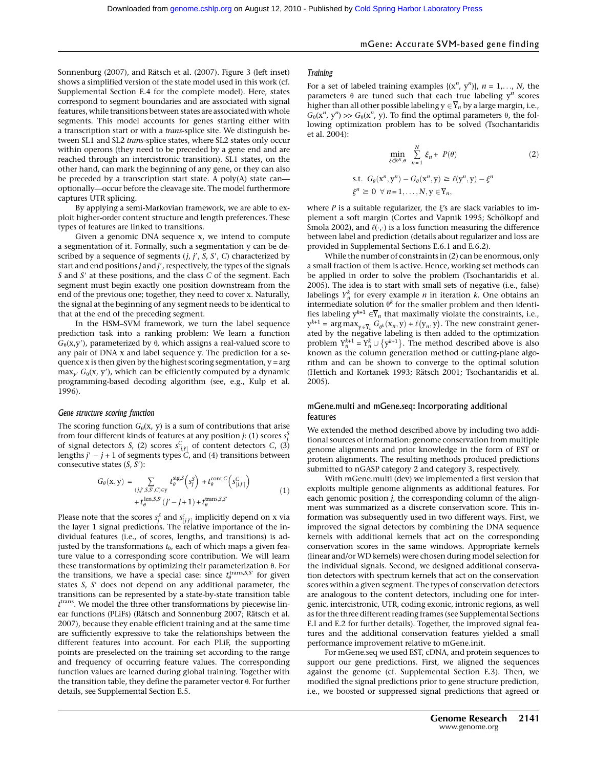Sonnenburg (2007), and Rätsch et al. (2007). Figure 3 (left inset) shows a simplified version of the state model used in this work (cf. Supplemental Section E.4 for the complete model). Here, states correspond to segment boundaries and are associated with signal features, while transitions between states are associated with whole segments. This model accounts for genes starting either with a transcription start or with a trans-splice site. We distinguish between SL1 and SL2 trans-splice states, where SL2 states only occur within operons (they need to be preceded by a gene end and are reached through an intercistronic transition). SL1 states, on the other hand, can mark the beginning of any gene, or they can also be preceded by a transcription start state. A poly(A) state can optionally—occur before the cleavage site. The model furthermore captures UTR splicing.

By applying a semi-Markovian framework, we are able to exploit higher-order content structure and length preferences. These types of features are linked to transitions.

Given a genomic DNA sequence x, we intend to compute a segmentation of it. Formally, such a segmentation y can be described by a sequence of segments  $(j, j', S, S', C)$  characterized by start and end positions  $j$  and  $j'$ , respectively, the types of the signals S and S' at these positions, and the class  $C$  of the segment. Each segment must begin exactly one position downstream from the end of the previous one; together, they need to cover x. Naturally, the signal at the beginning of any segment needs to be identical to that at the end of the preceding segment.

In the HSM–SVM framework, we turn the label sequence prediction task into a ranking problem: We learn a function  $G_{\theta}(x,y')$ , parameterized by  $\theta$ , which assigns a real-valued score to any pair of DNA x and label sequence y. The prediction for a sequence x is then given by the highest scoring segmentation,  $y = arg$  $max_{y'} G_{\theta}(x, y')$ , which can be efficiently computed by a dynamic programming-based decoding algorithm (see, e.g., Kulp et al. 1996).

#### Gene structure scoring function

The scoring function  $G_{\theta}(x, y)$  is a sum of contributions that arise from four different kinds of features at any position *j*: (1) scores  $s_j^S$ of signal detectors *S*, (2) scores  $s_{i,i|t|}^C$  of content detectors *C*, (3) lengths  $j'-j+1$  of segments types *C*, and (4) transitions between consecutive states  $(S, S')$ :

$$
G_{\theta}(\mathbf{x}, \mathbf{y}) = \sum_{(j,j',S,S',C) \in \mathbf{y}} t_{\theta}^{\text{sig},S} \left( s_j^S \right) + t_{\theta}^{\text{cont},C} \left( s_{[j,j']}^C \right) + t_{\theta}^{\text{len},S,S'} \left( j'-j+1 \right) + t_{\theta}^{\text{trans},S,S'} \tag{1}
$$

Please note that the scores  $s_j^S$  and  $s_{[j,j']}^c$  implicitly depend on x via the layer 1 signal predictions. The relative importance of the individual features (i.e., of scores, lengths, and transitions) is adjusted by the transformations  $t_{0}$ , each of which maps a given feature value to a corresponding score contribution. We will learn these transformations by optimizing their parameterization  $\theta$ . For the transitions, we have a special case: since  $t_{\theta}^{\text{trans},S,S'}$  for given states  $S$ ,  $S'$  does not depend on any additional parameter, the transitions can be represented by a state-by-state transition table trans. We model the three other transformations by piecewise linear functions (PLiFs) (Rätsch and Sonnenburg 2007; Rätsch et al. 2007), because they enable efficient training and at the same time are sufficiently expressive to take the relationships between the different features into account. For each PLiF, the supporting points are preselected on the training set according to the range and frequency of occurring feature values. The corresponding function values are learned during global training. Together with the transition table, they define the parameter vector  $\theta$ . For further details, see Supplemental Section E.5.

#### **Training**

For a set of labeled training examples  $\{(x^n, y^n)\}\$ ,  $n = 1, \ldots, N$ , the parameters  $\theta$  are tuned such that each true labeling  $y^n$  scores higher than all other possible labeling  $y \in \overline{Y}_n$  by a large margin, i.e.,  $G_{\theta}(\mathbf{x}^n, \mathbf{y}^n) \gg G_{\theta}(\mathbf{x}^n, \mathbf{y})$ . To find the optimal parameters  $\theta$ , the following optimization problem has to be solved (Tsochantaridis et al. 2004):

$$
\min_{\xi \in \mathbb{R}^N, \theta} \sum_{n=1}^N \xi_n + P(\theta) \tag{2}
$$

s.t. 
$$
G_{\theta}(\mathbf{x}^n, \mathbf{y}^n) - G_{\theta}(\mathbf{x}^n, \mathbf{y}) \ge \ell(\mathbf{y}^n, \mathbf{y}) - \xi^n
$$
  
\n $\xi^n \ge 0 \ \forall n = 1, ..., N, \mathbf{y} \in \overline{Y}_n$ 

where  $P$  is a suitable regularizer, the  $\xi$ 's are slack variables to implement a soft margin (Cortes and Vapnik 1995; Schölkopf and Smola 2002), and  $\ell(\cdot,\cdot)$  is a loss function measuring the difference between label and prediction (details about regularizer and loss are provided in Supplemental Sections E.6.1 and E.6.2).

While the number of constraints in (2) can be enormous, only a small fraction of them is active. Hence, working set methods can be applied in order to solve the problem (Tsochantaridis et al. 2005). The idea is to start with small sets of negative (i.e., false) labelings  $Y_n^k$  for every example *n* in iteration *k*. One obtains an intermediate solution  $\theta^k$  for the smaller problem and then identifies labeling  $y^{k+1} \in \overline{Y}_n$  that maximally violate the constraints, i.e.,  $y^{k+1}$  = arg max $y_{y \in \overline{Y}_n} G_{\theta^k}(x_n, y) + \ell(y_n, y)$ . The new constraint generated by the negative labeling is then added to the optimization problem  $Y_n^{k+1} = Y_n^k \cup \{y_{n+1}^{k+1}\}$ . The method described above is also known as the column generation method or cutting-plane algorithm and can be shown to converge to the optimal solution (Hettich and Kortanek 1993; Rätsch 2001; Tsochantaridis et al. 2005).

#### mGene.multi and mGene.seq: Incorporating additional features

We extended the method described above by including two additional sources of information: genome conservation from multiple genome alignments and prior knowledge in the form of EST or protein alignments. The resulting methods produced predictions submitted to nGASP category 2 and category 3, respectively.

With mGene.multi (dev) we implemented a first version that exploits multiple genome alignments as additional features. For each genomic position *j*, the corresponding column of the alignment was summarized as a discrete conservation score. This information was subsequently used in two different ways. First, we improved the signal detectors by combining the DNA sequence kernels with additional kernels that act on the corresponding conservation scores in the same windows. Appropriate kernels (linear and/or WD kernels) were chosen during model selection for the individual signals. Second, we designed additional conservation detectors with spectrum kernels that act on the conservation scores within a given segment. The types of conservation detectors are analogous to the content detectors, including one for intergenic, intercistronic, UTR, coding exonic, intronic regions, as well as for the three different reading frames (see Supplemental Sections E.I and E.2 for further details). Together, the improved signal features and the additional conservation features yielded a small performance improvement relative to mGene.init.

For mGene.seq we used EST, cDNA, and protein sequences to support our gene predictions. First, we aligned the sequences against the genome (cf. Supplemental Section E.3). Then, we modified the signal predictions prior to gene structure prediction, i.e., we boosted or suppressed signal predictions that agreed or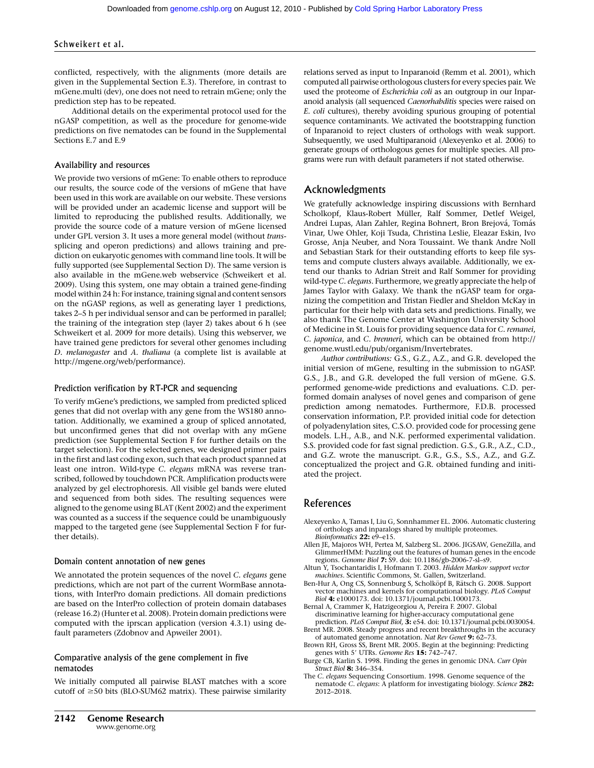conflicted, respectively, with the alignments (more details are given in the Supplemental Section E.3). Therefore, in contrast to mGene.multi (dev), one does not need to retrain mGene; only the prediction step has to be repeated.

Additional details on the experimental protocol used for the nGASP competition, as well as the procedure for genome-wide predictions on five nematodes can be found in the Supplemental Sections E.7 and E.9

#### Availability and resources

We provide two versions of mGene: To enable others to reproduce our results, the source code of the versions of mGene that have been used in this work are available on our website. These versions will be provided under an academic license and support will be limited to reproducing the published results. Additionally, we provide the source code of a mature version of mGene licensed under GPL version 3. It uses a more general model (without transsplicing and operon predictions) and allows training and prediction on eukaryotic genomes with command line tools. It will be fully supported (see Supplemental Section D). The same version is also available in the mGene.web webservice (Schweikert et al. 2009). Using this system, one may obtain a trained gene-finding model within 24 h: For instance, training signal and content sensors on the nGASP regions, as well as generating layer 1 predictions, takes 2–5 h per individual sensor and can be performed in parallel; the training of the integration step (layer 2) takes about 6 h (see Schweikert et al. 2009 for more details). Using this webserver, we have trained gene predictors for several other genomes including D. melanogaster and A. thaliana (a complete list is available at http://mgene.org/web/performance).

#### Prediction verification by RT-PCR and sequencing

To verify mGene's predictions, we sampled from predicted spliced genes that did not overlap with any gene from the WS180 annotation. Additionally, we examined a group of spliced annotated, but unconfirmed genes that did not overlap with any mGene prediction (see Supplemental Section F for further details on the target selection). For the selected genes, we designed primer pairs in the first and last coding exon, such that each product spanned at least one intron. Wild-type C. elegans mRNA was reverse transcribed, followed by touchdown PCR. Amplification products were analyzed by gel electrophoresis. All visible gel bands were eluted and sequenced from both sides. The resulting sequences were aligned to the genome using BLAT (Kent 2002) and the experiment was counted as a success if the sequence could be unambiguously mapped to the targeted gene (see Supplemental Section F for further details).

#### Domain content annotation of new genes

We annotated the protein sequences of the novel C. elegans gene predictions, which are not part of the current WormBase annotations, with InterPro domain predictions. All domain predictions are based on the InterPro collection of protein domain databases (release 16.2) (Hunter et al. 2008). Protein domain predictions were computed with the iprscan application (version 4.3.1) using default parameters (Zdobnov and Apweiler 2001).

#### Comparative analysis of the gene complement in five nematodes

We initially computed all pairwise BLAST matches with a score cutoff of  $\geq$ 50 bits (BLO-SUM62 matrix). These pairwise similarity relations served as input to Inparanoid (Remm et al. 2001), which computed all pairwise orthologous clusters for every species pair. We used the proteome of Escherichia coli as an outgroup in our Inparanoid analysis (all sequenced Caenorhabditis species were raised on E. coli cultures), thereby avoiding spurious grouping of potential sequence contaminants. We activated the bootstrapping function of Inparanoid to reject clusters of orthologs with weak support. Subsequently, we used Multiparanoid (Alexeyenko et al. 2006) to generate groups of orthologous genes for multiple species. All programs were run with default parameters if not stated otherwise.

# Acknowledgments

We gratefully acknowledge inspiring discussions with Bernhard Scholkopf, Klaus-Robert Müller, Ralf Sommer, Detlef Weigel, Andrei Lupas, Alan Zahler, Regina Bohnert, Bron Brejová, Tomás Vinar, Uwe Ohler, Koji Tsuda, Christina Leslie, Eleazar Eskin, Ivo Grosse, Anja Neuber, and Nora Toussaint. We thank Andre Noll and Sebastian Stark for their outstanding efforts to keep file systems and compute clusters always available. Additionally, we extend our thanks to Adrian Streit and Ralf Sommer for providing wild-type C. elegans. Furthermore, we greatly appreciate the help of James Taylor with Galaxy. We thank the nGASP team for organizing the competition and Tristan Fiedler and Sheldon McKay in particular for their help with data sets and predictions. Finally, we also thank The Genome Center at Washington University School of Medicine in St. Louis for providing sequence data for C. remanei, C. japonica, and C. brenneri, which can be obtained from http:// genome.wustl.edu/pub/organism/Invertebrates.

Author contributions: G.S., G.Z., A.Z., and G.R. developed the initial version of mGene, resulting in the submission to nGASP. G.S., J.B., and G.R. developed the full version of mGene. G.S. performed genome-wide predictions and evaluations. C.D. performed domain analyses of novel genes and comparison of gene prediction among nematodes. Furthermore, F.D.B. processed conservation information, P.P. provided initial code for detection of polyadenylation sites, C.S.O. provided code for processing gene models. L.H., A.B., and N.K. performed experimental validation. S.S. provided code for fast signal prediction. G.S., G.R., A.Z., C.D., and G.Z. wrote the manuscript. G.R., G.S., S.S., A.Z., and G.Z. conceptualized the project and G.R. obtained funding and initiated the project.

# References

- Alexeyenko A, Tamas I, Liu G, Sonnhammer EL. 2006. Automatic clustering of orthologs and inparalogs shared by multiple proteomes. Bioinformatics 22: e9-e15
- Allen JE, Majoros WH, Pertea M, Salzberg SL. 2006. JIGSAW, GeneZilla, and GlimmerHMM: Puzzling out the features of human genes in the encode regions. Genome Biol 7: S9. doi: 10.1186/gb-2006-7-sl–s9.
- Altun Y, Tsochantaridis I, Hofmann T. 2003. Hidden Markov support vector machines. Scientific Commons, St. Gallen, Switzerland.
- Ben-Hur A, Ong CS, Sonnenburg S, Scholköpf B, Rätsch G. 2008. Support vector machines and kernels for computational biology. PLoS Comput Biol 4: e1000173. doi: 10.1371/journal.pcbi.1000173.
- Bernal A, Crammer K, Hatzigeorgiou A, Pereira F. 2007. Global discriminative learning for higher-accuracy computational gene prediction. PLoS Comput Biol, 3: e54. doi: 10.1371/journal.pcbi.0030054.
- Brent MR. 2008. Steady progress and recent breakthroughs in the accuracy of automated genome annotation. Nat Rev Genet 9: 62–73.
- Brown RH, Gross SS, Brent MR. 2005. Begin at the beginning: Predicting genes with 5' UTRs. Genome Res  $15: 742-747$ .
- Burge CB, Karlin S. 1998. Finding the genes in genomic DNA. Curr Opin Struct Biol 8: 346–354.
- The C. elegans Sequencing Consortium. 1998. Genome sequence of the nematode C. elegans: A platform for investigating biology. Science 282: 2012–2018.